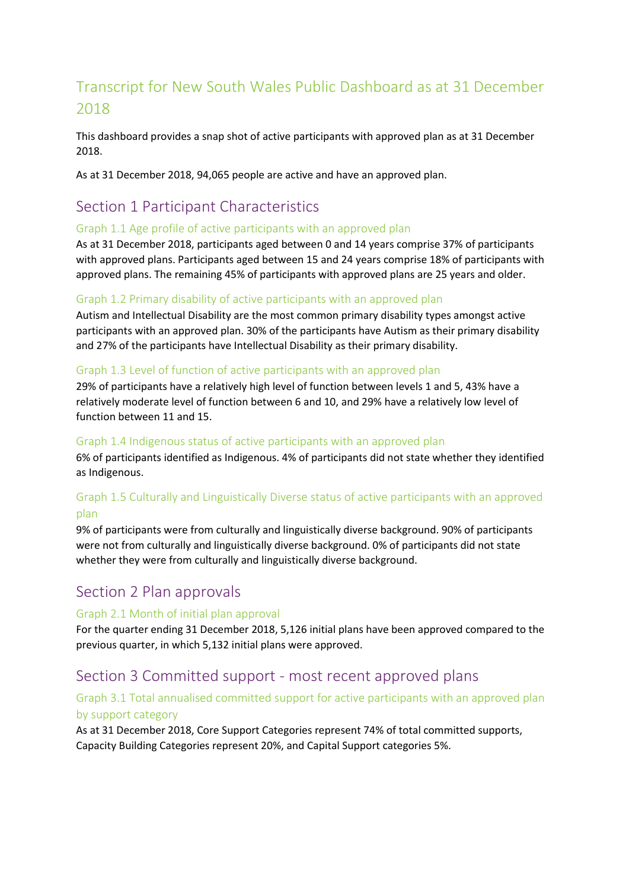# Transcript for New South Wales Public Dashboard as at 31 December 2018

This dashboard provides a snap shot of active participants with approved plan as at 31 December 2018.

As at 31 December 2018, 94,065 people are active and have an approved plan.

# Section 1 Participant Characteristics

#### Graph 1.1 Age profile of active participants with an approved plan

As at 31 December 2018, participants aged between 0 and 14 years comprise 37% of participants with approved plans. Participants aged between 15 and 24 years comprise 18% of participants with approved plans. The remaining 45% of participants with approved plans are 25 years and older.

### Graph 1.2 Primary disability of active participants with an approved plan

Autism and Intellectual Disability are the most common primary disability types amongst active participants with an approved plan. 30% of the participants have Autism as their primary disability and 27% of the participants have Intellectual Disability as their primary disability.

#### Graph 1.3 Level of function of active participants with an approved plan

29% of participants have a relatively high level of function between levels 1 and 5, 43% have a relatively moderate level of function between 6 and 10, and 29% have a relatively low level of function between 11 and 15.

#### Graph 1.4 Indigenous status of active participants with an approved plan

6% of participants identified as Indigenous. 4% of participants did not state whether they identified as Indigenous.

## Graph 1.5 Culturally and Linguistically Diverse status of active participants with an approved plan

9% of participants were from culturally and linguistically diverse background. 90% of participants were not from culturally and linguistically diverse background. 0% of participants did not state whether they were from culturally and linguistically diverse background.

# Section 2 Plan approvals

### Graph 2.1 Month of initial plan approval

For the quarter ending 31 December 2018, 5,126 initial plans have been approved compared to the previous quarter, in which 5,132 initial plans were approved.

# Section 3 Committed support - most recent approved plans

## Graph 3.1 Total annualised committed support for active participants with an approved plan by support category

As at 31 December 2018, Core Support Categories represent 74% of total committed supports, Capacity Building Categories represent 20%, and Capital Support categories 5%.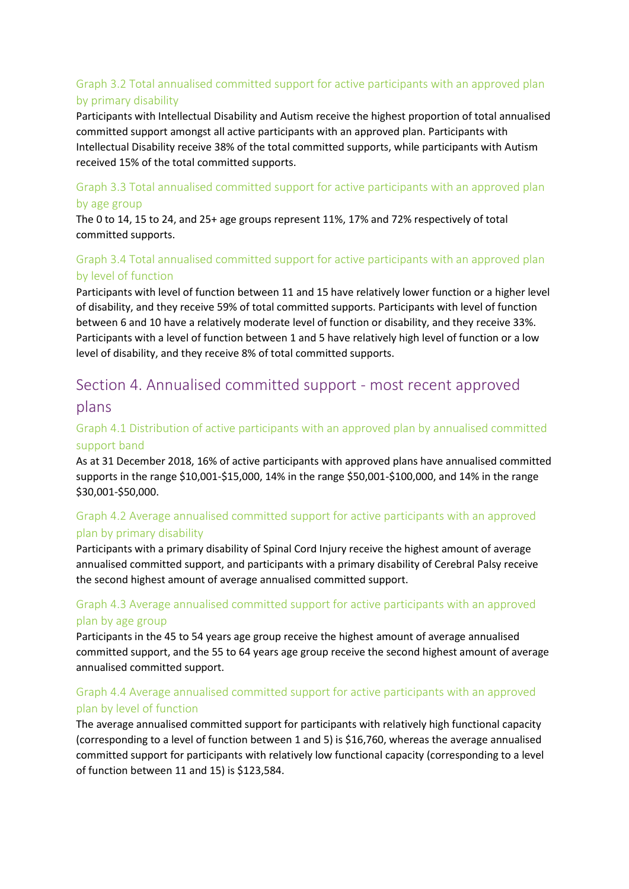## Graph 3.2 Total annualised committed support for active participants with an approved plan by primary disability

Participants with Intellectual Disability and Autism receive the highest proportion of total annualised committed support amongst all active participants with an approved plan. Participants with Intellectual Disability receive 38% of the total committed supports, while participants with Autism received 15% of the total committed supports.

### Graph 3.3 Total annualised committed support for active participants with an approved plan by age group

The 0 to 14, 15 to 24, and 25+ age groups represent 11%, 17% and 72% respectively of total committed supports.

## Graph 3.4 Total annualised committed support for active participants with an approved plan by level of function

Participants with level of function between 11 and 15 have relatively lower function or a higher level of disability, and they receive 59% of total committed supports. Participants with level of function between 6 and 10 have a relatively moderate level of function or disability, and they receive 33%. Participants with a level of function between 1 and 5 have relatively high level of function or a low level of disability, and they receive 8% of total committed supports.

# Section 4. Annualised committed support - most recent approved plans

## Graph 4.1 Distribution of active participants with an approved plan by annualised committed support band

As at 31 December 2018, 16% of active participants with approved plans have annualised committed supports in the range \$10,001-\$15,000, 14% in the range \$50,001-\$100,000, and 14% in the range \$30,001-\$50,000.

## Graph 4.2 Average annualised committed support for active participants with an approved plan by primary disability

Participants with a primary disability of Spinal Cord Injury receive the highest amount of average annualised committed support, and participants with a primary disability of Cerebral Palsy receive the second highest amount of average annualised committed support.

## Graph 4.3 Average annualised committed support for active participants with an approved plan by age group

Participants in the 45 to 54 years age group receive the highest amount of average annualised committed support, and the 55 to 64 years age group receive the second highest amount of average annualised committed support.

## Graph 4.4 Average annualised committed support for active participants with an approved plan by level of function

The average annualised committed support for participants with relatively high functional capacity (corresponding to a level of function between 1 and 5) is \$16,760, whereas the average annualised committed support for participants with relatively low functional capacity (corresponding to a level of function between 11 and 15) is \$123,584.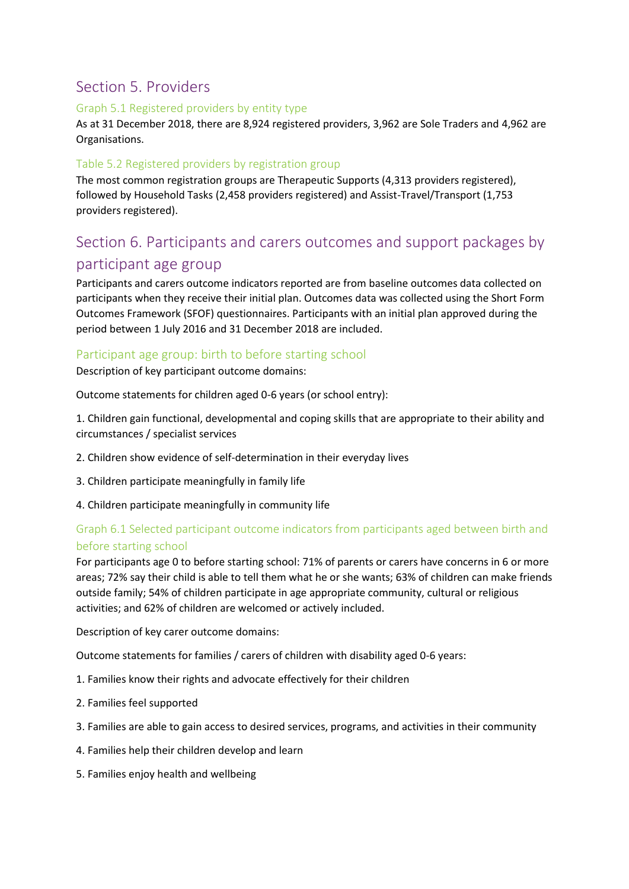# Section 5. Providers

#### Graph 5.1 Registered providers by entity type

As at 31 December 2018, there are 8,924 registered providers, 3,962 are Sole Traders and 4,962 are Organisations.

### Table 5.2 Registered providers by registration group

The most common registration groups are Therapeutic Supports (4,313 providers registered), followed by Household Tasks (2,458 providers registered) and Assist-Travel/Transport (1,753 providers registered).

# Section 6. Participants and carers outcomes and support packages by

## participant age group

Participants and carers outcome indicators reported are from baseline outcomes data collected on participants when they receive their initial plan. Outcomes data was collected using the Short Form Outcomes Framework (SFOF) questionnaires. Participants with an initial plan approved during the period between 1 July 2016 and 31 December 2018 are included.

### Participant age group: birth to before starting school

Description of key participant outcome domains:

Outcome statements for children aged 0-6 years (or school entry):

1. Children gain functional, developmental and coping skills that are appropriate to their ability and circumstances / specialist services

- 2. Children show evidence of self-determination in their everyday lives
- 3. Children participate meaningfully in family life
- 4. Children participate meaningfully in community life

## Graph 6.1 Selected participant outcome indicators from participants aged between birth and before starting school

For participants age 0 to before starting school: 71% of parents or carers have concerns in 6 or more areas; 72% say their child is able to tell them what he or she wants; 63% of children can make friends outside family; 54% of children participate in age appropriate community, cultural or religious activities; and 62% of children are welcomed or actively included.

Description of key carer outcome domains:

Outcome statements for families / carers of children with disability aged 0-6 years:

- 1. Families know their rights and advocate effectively for their children
- 2. Families feel supported
- 3. Families are able to gain access to desired services, programs, and activities in their community
- 4. Families help their children develop and learn
- 5. Families enjoy health and wellbeing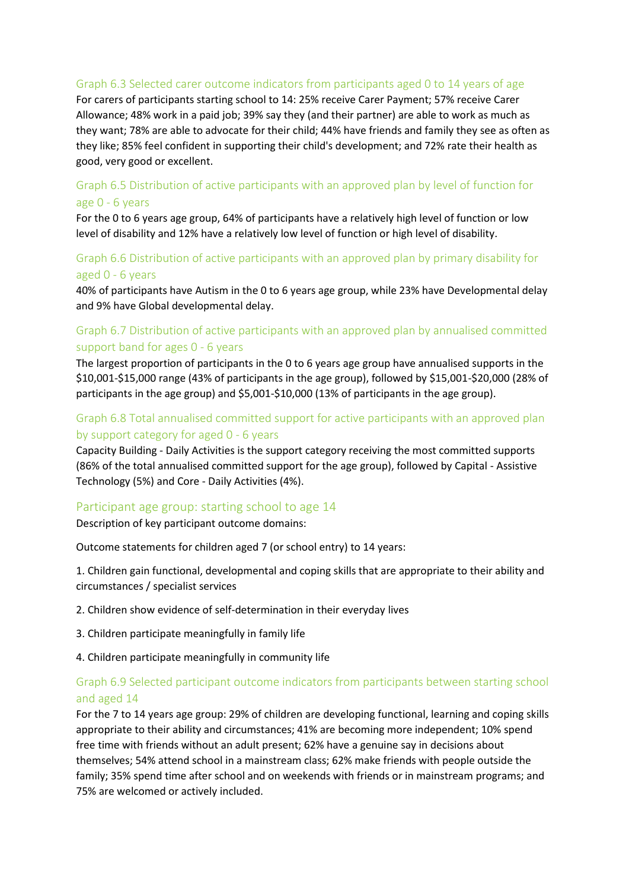#### Graph 6.3 Selected carer outcome indicators from participants aged 0 to 14 years of age

For carers of participants starting school to 14: 25% receive Carer Payment; 57% receive Carer Allowance; 48% work in a paid job; 39% say they (and their partner) are able to work as much as they want; 78% are able to advocate for their child; 44% have friends and family they see as often as they like; 85% feel confident in supporting their child's development; and 72% rate their health as good, very good or excellent.

### Graph 6.5 Distribution of active participants with an approved plan by level of function for age 0 - 6 years

For the 0 to 6 years age group, 64% of participants have a relatively high level of function or low level of disability and 12% have a relatively low level of function or high level of disability.

### Graph 6.6 Distribution of active participants with an approved plan by primary disability for aged 0 - 6 years

40% of participants have Autism in the 0 to 6 years age group, while 23% have Developmental delay and 9% have Global developmental delay.

## Graph 6.7 Distribution of active participants with an approved plan by annualised committed support band for ages 0 - 6 years

The largest proportion of participants in the 0 to 6 years age group have annualised supports in the \$10,001-\$15,000 range (43% of participants in the age group), followed by \$15,001-\$20,000 (28% of participants in the age group) and \$5,001-\$10,000 (13% of participants in the age group).

## Graph 6.8 Total annualised committed support for active participants with an approved plan by support category for aged 0 - 6 years

Capacity Building - Daily Activities is the support category receiving the most committed supports (86% of the total annualised committed support for the age group), followed by Capital - Assistive Technology (5%) and Core - Daily Activities (4%).

### Participant age group: starting school to age 14

Description of key participant outcome domains:

Outcome statements for children aged 7 (or school entry) to 14 years:

1. Children gain functional, developmental and coping skills that are appropriate to their ability and circumstances / specialist services

2. Children show evidence of self-determination in their everyday lives

3. Children participate meaningfully in family life

4. Children participate meaningfully in community life

### Graph 6.9 Selected participant outcome indicators from participants between starting school and aged 14

For the 7 to 14 years age group: 29% of children are developing functional, learning and coping skills appropriate to their ability and circumstances; 41% are becoming more independent; 10% spend free time with friends without an adult present; 62% have a genuine say in decisions about themselves; 54% attend school in a mainstream class; 62% make friends with people outside the family; 35% spend time after school and on weekends with friends or in mainstream programs; and 75% are welcomed or actively included.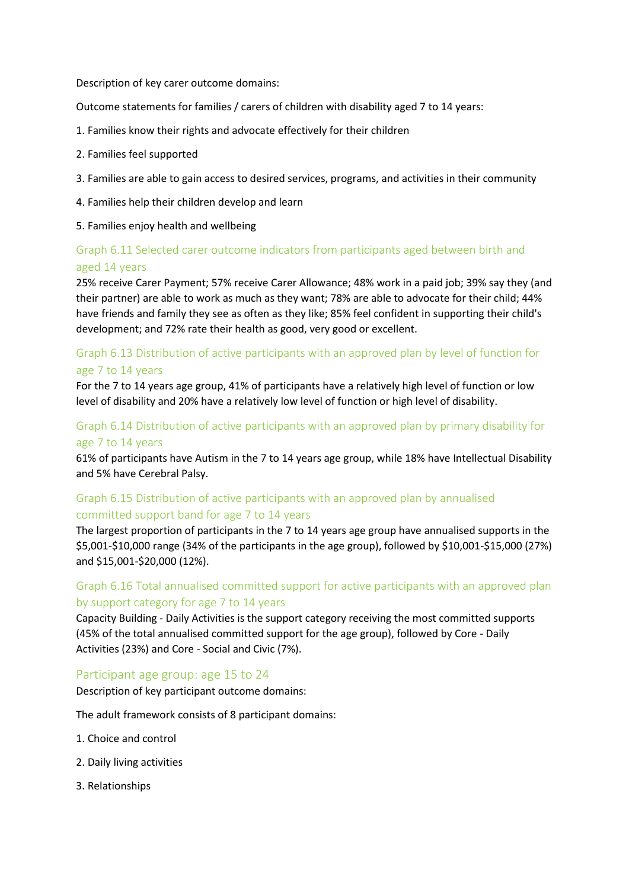Description of key carer outcome domains:

Outcome statements for families / carers of children with disability aged 7 to 14 years:

- 1. Families know their rights and advocate effectively for their children
- 2. Families feel supported
- 3. Families are able to gain access to desired services, programs, and activities in their community
- 4. Families help their children develop and learn
- 5. Families enjoy health and wellbeing

## Graph 6.11 Selected carer outcome indicators from participants aged between birth and aged 14 years

25% receive Carer Payment; 57% receive Carer Allowance; 48% work in a paid job; 39% say they (and their partner) are able to work as much as they want; 78% are able to advocate for their child; 44% have friends and family they see as often as they like; 85% feel confident in supporting their child's development; and 72% rate their health as good, very good or excellent.

### Graph 6.13 Distribution of active participants with an approved plan by level of function for age 7 to 14 years

For the 7 to 14 years age group, 41% of participants have a relatively high level of function or low level of disability and 20% have a relatively low level of function or high level of disability.

### Graph 6.14 Distribution of active participants with an approved plan by primary disability for age 7 to 14 years

61% of participants have Autism in the 7 to 14 years age group, while 18% have Intellectual Disability and 5% have Cerebral Palsy.

### Graph 6.15 Distribution of active participants with an approved plan by annualised committed support band for age 7 to 14 years

The largest proportion of participants in the 7 to 14 years age group have annualised supports in the \$5,001-\$10,000 range (34% of the participants in the age group), followed by \$10,001-\$15,000 (27%) and \$15,001-\$20,000 (12%).

## Graph 6.16 Total annualised committed support for active participants with an approved plan by support category for age 7 to 14 years

Capacity Building - Daily Activities is the support category receiving the most committed supports (45% of the total annualised committed support for the age group), followed by Core - Daily Activities (23%) and Core - Social and Civic (7%).

#### Participant age group: age 15 to 24

Description of key participant outcome domains:

The adult framework consists of 8 participant domains:

- 1. Choice and control
- 2. Daily living activities
- 3. Relationships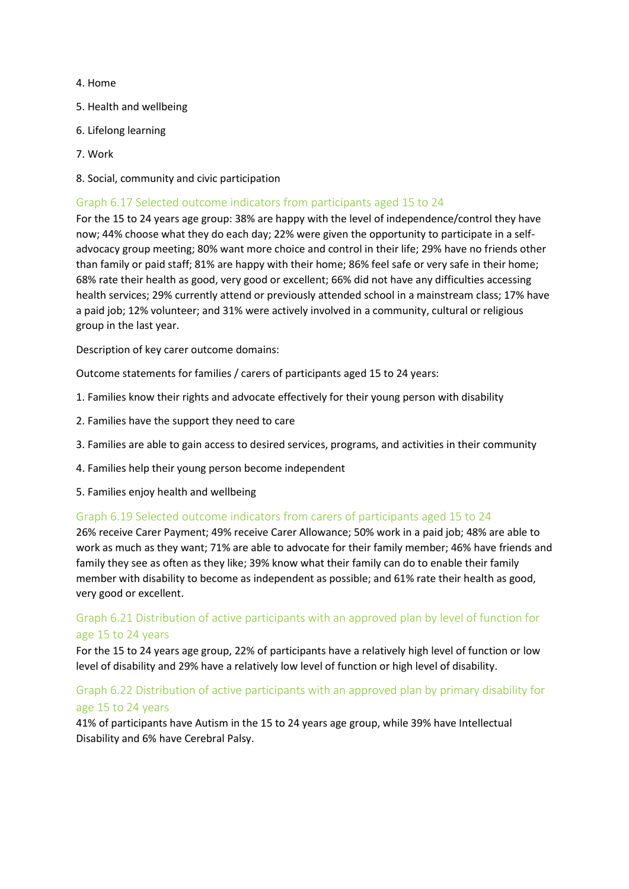#### 4. Home

- 5. Health and wellbeing
- 6. Lifelong learning
- 7. Work
- 8. Social, community and civic participation

#### Graph 6.17 Selected outcome indicators from participants aged 15 to 24

For the 15 to 24 years age group: 38% are happy with the level of independence/control they have now; 44% choose what they do each day; 22% were given the opportunity to participate in a selfadvocacy group meeting; 80% want more choice and control in their life; 29% have no friends other than family or paid staff; 81% are happy with their home; 86% feel safe or very safe in their home; 68% rate their health as good, very good or excellent; 66% did not have any difficulties accessing health services; 29% currently attend or previously attended school in a mainstream class; 17% have a paid job; 12% volunteer; and 31% were actively involved in a community, cultural or religious group in the last year.

Description of key carer outcome domains:

Outcome statements for families / carers of participants aged 15 to 24 years:

- 1. Families know their rights and advocate effectively for their young person with disability
- 2. Families have the support they need to care
- 3. Families are able to gain access to desired services, programs, and activities in their community
- 4. Families help their young person become independent
- 5. Families enjoy health and wellbeing

#### Graph 6.19 Selected outcome indicators from carers of participants aged 15 to 24

26% receive Carer Payment; 49% receive Carer Allowance; 50% work in a paid job; 48% are able to work as much as they want; 71% are able to advocate for their family member; 46% have friends and family they see as often as they like; 39% know what their family can do to enable their family member with disability to become as independent as possible; and 61% rate their health as good, very good or excellent.

### Graph 6.21 Distribution of active participants with an approved plan by level of function for age 15 to 24 years

For the 15 to 24 years age group, 22% of participants have a relatively high level of function or low level of disability and 29% have a relatively low level of function or high level of disability.

## Graph 6.22 Distribution of active participants with an approved plan by primary disability for age 15 to 24 years

41% of participants have Autism in the 15 to 24 years age group, while 39% have Intellectual Disability and 6% have Cerebral Palsy.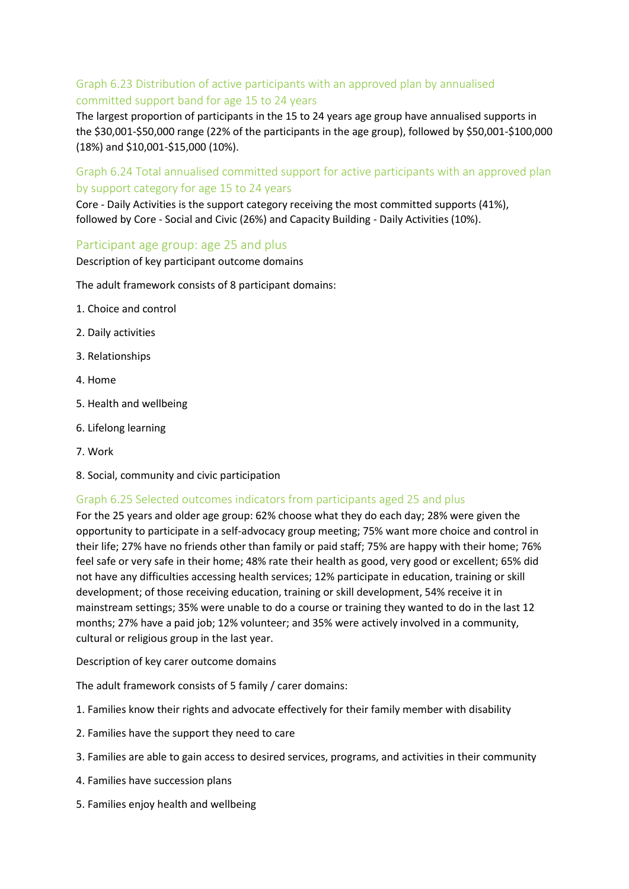## Graph 6.23 Distribution of active participants with an approved plan by annualised committed support band for age 15 to 24 years

The largest proportion of participants in the 15 to 24 years age group have annualised supports in the \$30,001-\$50,000 range (22% of the participants in the age group), followed by \$50,001-\$100,000 (18%) and \$10,001-\$15,000 (10%).

Graph 6.24 Total annualised committed support for active participants with an approved plan by support category for age 15 to 24 years

Core - Daily Activities is the support category receiving the most committed supports (41%), followed by Core - Social and Civic (26%) and Capacity Building - Daily Activities (10%).

#### Participant age group: age 25 and plus

Description of key participant outcome domains

The adult framework consists of 8 participant domains:

- 1. Choice and control
- 2. Daily activities
- 3. Relationships
- 4. Home
- 5. Health and wellbeing
- 6. Lifelong learning
- 7. Work
- 8. Social, community and civic participation

#### Graph 6.25 Selected outcomes indicators from participants aged 25 and plus

For the 25 years and older age group: 62% choose what they do each day; 28% were given the opportunity to participate in a self-advocacy group meeting; 75% want more choice and control in their life; 27% have no friends other than family or paid staff; 75% are happy with their home; 76% feel safe or very safe in their home; 48% rate their health as good, very good or excellent; 65% did not have any difficulties accessing health services; 12% participate in education, training or skill development; of those receiving education, training or skill development, 54% receive it in mainstream settings; 35% were unable to do a course or training they wanted to do in the last 12 months; 27% have a paid job; 12% volunteer; and 35% were actively involved in a community, cultural or religious group in the last year.

Description of key carer outcome domains

The adult framework consists of 5 family / carer domains:

- 1. Families know their rights and advocate effectively for their family member with disability
- 2. Families have the support they need to care
- 3. Families are able to gain access to desired services, programs, and activities in their community
- 4. Families have succession plans
- 5. Families enjoy health and wellbeing